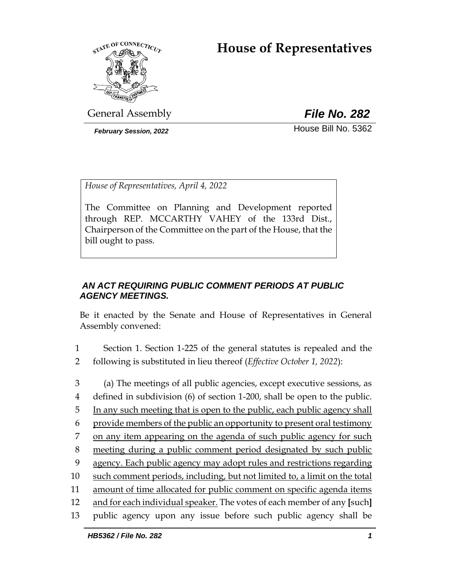# **House of Representatives**



General Assembly *File No. 282*

**February Session, 2022 House Bill No. 5362** 

*House of Representatives, April 4, 2022*

The Committee on Planning and Development reported through REP. MCCARTHY VAHEY of the 133rd Dist., Chairperson of the Committee on the part of the House, that the bill ought to pass.

## *AN ACT REQUIRING PUBLIC COMMENT PERIODS AT PUBLIC AGENCY MEETINGS.*

Be it enacted by the Senate and House of Representatives in General Assembly convened:

- 1 Section 1. Section 1-225 of the general statutes is repealed and the 2 following is substituted in lieu thereof (*Effective October 1, 2022*):
- 3 (a) The meetings of all public agencies, except executive sessions, as 4 defined in subdivision (6) of section 1-200, shall be open to the public. 5 In any such meeting that is open to the public, each public agency shall 6 provide members of the public an opportunity to present oral testimony 7 on any item appearing on the agenda of such public agency for such 8 meeting during a public comment period designated by such public 9 agency. Each public agency may adopt rules and restrictions regarding 10 such comment periods, including, but not limited to, a limit on the total 11 amount of time allocated for public comment on specific agenda items 12 and for each individual speaker. The votes of each member of any **[**such**]**  13 public agency upon any issue before such public agency shall be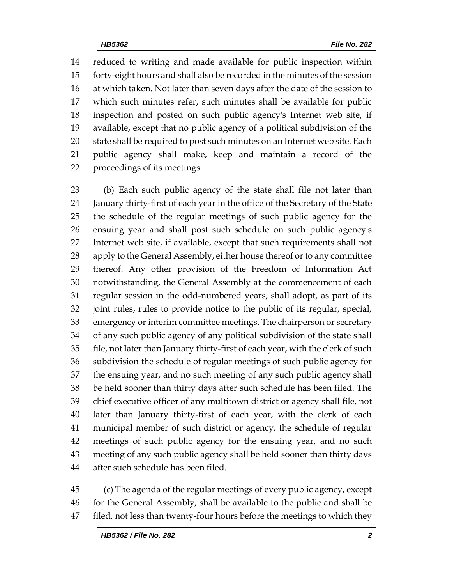reduced to writing and made available for public inspection within forty-eight hours and shall also be recorded in the minutes of the session at which taken. Not later than seven days after the date of the session to which such minutes refer, such minutes shall be available for public inspection and posted on such public agency's Internet web site, if available, except that no public agency of a political subdivision of the state shall be required to post such minutes on an Internet web site. Each public agency shall make, keep and maintain a record of the proceedings of its meetings.

 (b) Each such public agency of the state shall file not later than January thirty-first of each year in the office of the Secretary of the State the schedule of the regular meetings of such public agency for the ensuing year and shall post such schedule on such public agency's Internet web site, if available, except that such requirements shall not 28 apply to the General Assembly, either house thereof or to any committee thereof. Any other provision of the Freedom of Information Act notwithstanding, the General Assembly at the commencement of each regular session in the odd-numbered years, shall adopt, as part of its joint rules, rules to provide notice to the public of its regular, special, emergency or interim committee meetings. The chairperson or secretary of any such public agency of any political subdivision of the state shall file, not later than January thirty-first of each year, with the clerk of such subdivision the schedule of regular meetings of such public agency for the ensuing year, and no such meeting of any such public agency shall be held sooner than thirty days after such schedule has been filed. The chief executive officer of any multitown district or agency shall file, not later than January thirty-first of each year, with the clerk of each municipal member of such district or agency, the schedule of regular meetings of such public agency for the ensuing year, and no such meeting of any such public agency shall be held sooner than thirty days after such schedule has been filed.

 (c) The agenda of the regular meetings of every public agency, except for the General Assembly, shall be available to the public and shall be 47 filed, not less than twenty-four hours before the meetings to which they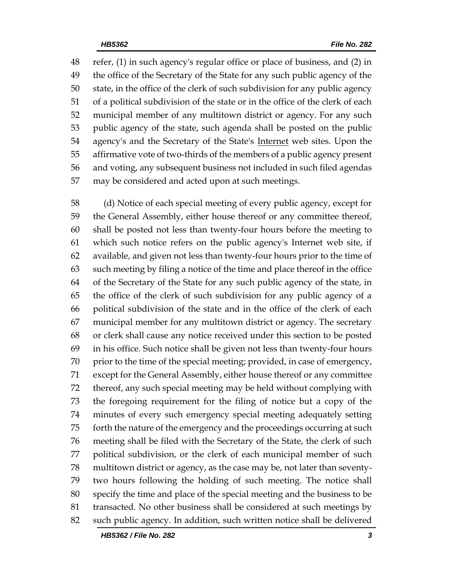refer, (1) in such agency's regular office or place of business, and (2) in the office of the Secretary of the State for any such public agency of the state, in the office of the clerk of such subdivision for any public agency of a political subdivision of the state or in the office of the clerk of each municipal member of any multitown district or agency. For any such public agency of the state, such agenda shall be posted on the public agency's and the Secretary of the State's Internet web sites. Upon the affirmative vote of two-thirds of the members of a public agency present and voting, any subsequent business not included in such filed agendas may be considered and acted upon at such meetings.

 (d) Notice of each special meeting of every public agency, except for the General Assembly, either house thereof or any committee thereof, shall be posted not less than twenty-four hours before the meeting to which such notice refers on the public agency's Internet web site, if available, and given not less than twenty-four hours prior to the time of such meeting by filing a notice of the time and place thereof in the office of the Secretary of the State for any such public agency of the state, in the office of the clerk of such subdivision for any public agency of a political subdivision of the state and in the office of the clerk of each municipal member for any multitown district or agency. The secretary or clerk shall cause any notice received under this section to be posted in his office. Such notice shall be given not less than twenty-four hours 70 prior to the time of the special meeting; provided, in case of emergency, except for the General Assembly, either house thereof or any committee thereof, any such special meeting may be held without complying with the foregoing requirement for the filing of notice but a copy of the minutes of every such emergency special meeting adequately setting forth the nature of the emergency and the proceedings occurring at such meeting shall be filed with the Secretary of the State, the clerk of such political subdivision, or the clerk of each municipal member of such multitown district or agency, as the case may be, not later than seventy- two hours following the holding of such meeting. The notice shall specify the time and place of the special meeting and the business to be transacted. No other business shall be considered at such meetings by such public agency. In addition, such written notice shall be delivered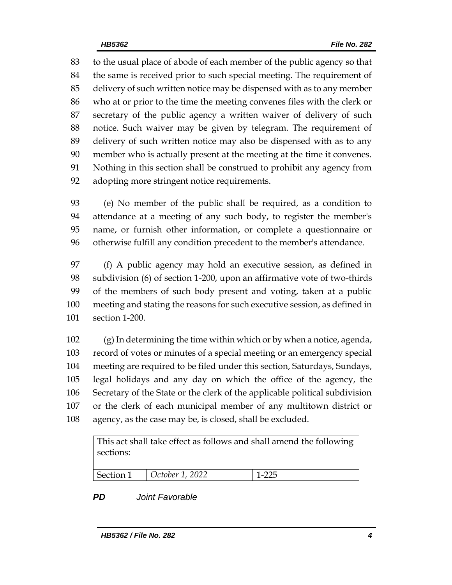to the usual place of abode of each member of the public agency so that the same is received prior to such special meeting. The requirement of delivery of such written notice may be dispensed with as to any member who at or prior to the time the meeting convenes files with the clerk or secretary of the public agency a written waiver of delivery of such notice. Such waiver may be given by telegram. The requirement of delivery of such written notice may also be dispensed with as to any member who is actually present at the meeting at the time it convenes. Nothing in this section shall be construed to prohibit any agency from adopting more stringent notice requirements.

 (e) No member of the public shall be required, as a condition to attendance at a meeting of any such body, to register the member's name, or furnish other information, or complete a questionnaire or otherwise fulfill any condition precedent to the member's attendance.

 (f) A public agency may hold an executive session, as defined in subdivision (6) of section 1-200, upon an affirmative vote of two-thirds of the members of such body present and voting, taken at a public meeting and stating the reasons for such executive session, as defined in section 1-200.

 (g) In determining the time within which or by when a notice, agenda, record of votes or minutes of a special meeting or an emergency special meeting are required to be filed under this section, Saturdays, Sundays, legal holidays and any day on which the office of the agency, the Secretary of the State or the clerk of the applicable political subdivision or the clerk of each municipal member of any multitown district or agency, as the case may be, is closed, shall be excluded.

This act shall take effect as follows and shall amend the following sections:

| Section 1 | $\vert$ October 1, 2022 | 1.225 |
|-----------|-------------------------|-------|

# *PD Joint Favorable*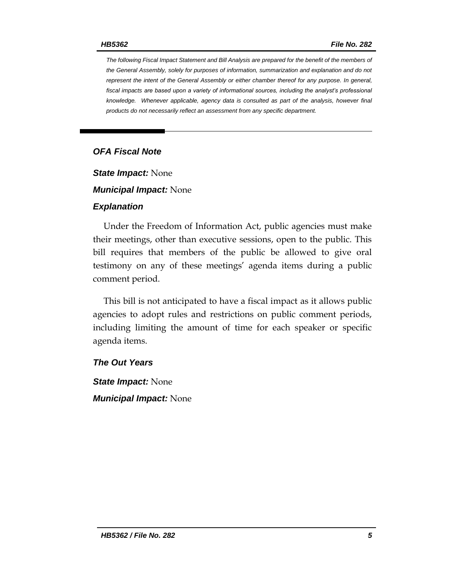*The following Fiscal Impact Statement and Bill Analysis are prepared for the benefit of the members of the General Assembly, solely for purposes of information, summarization and explanation and do not represent the intent of the General Assembly or either chamber thereof for any purpose. In general, fiscal impacts are based upon a variety of informational sources, including the analyst's professional knowledge. Whenever applicable, agency data is consulted as part of the analysis, however final products do not necessarily reflect an assessment from any specific department.*

## *OFA Fiscal Note*

*State Impact:* None

*Municipal Impact:* None

#### *Explanation*

Under the Freedom of Information Act, public agencies must make their meetings, other than executive sessions, open to the public. This bill requires that members of the public be allowed to give oral testimony on any of these meetings' agenda items during a public comment period.

This bill is not anticipated to have a fiscal impact as it allows public agencies to adopt rules and restrictions on public comment periods, including limiting the amount of time for each speaker or specific agenda items.

#### *The Out Years*

*State Impact:* None

*Municipal Impact:* None